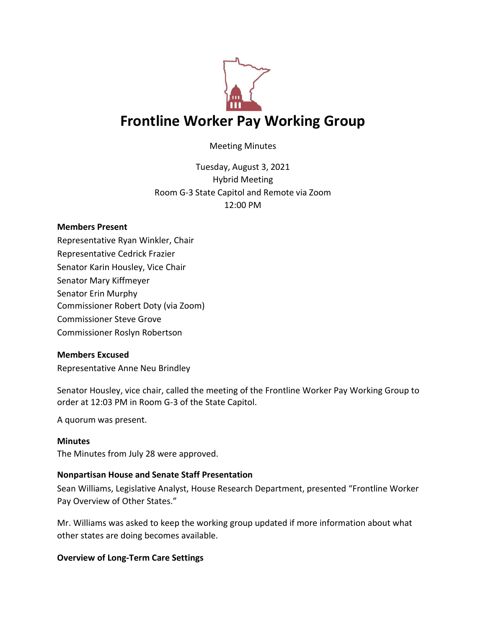

Meeting Minutes

Tuesday, August 3, 2021 Hybrid Meeting Room G-3 State Capitol and Remote via Zoom 12:00 PM

### **Members Present**

Representative Ryan Winkler, Chair Representative Cedrick Frazier Senator Karin Housley, Vice Chair Senator Mary Kiffmeyer Senator Erin Murphy Commissioner Robert Doty (via Zoom) Commissioner Steve Grove Commissioner Roslyn Robertson

### **Members Excused**

Representative Anne Neu Brindley

Senator Housley, vice chair, called the meeting of the Frontline Worker Pay Working Group to order at 12:03 PM in Room G-3 of the State Capitol.

A quorum was present.

#### **Minutes**

The Minutes from July 28 were approved.

### **Nonpartisan House and Senate Staff Presentation**

Sean Williams, Legislative Analyst, House Research Department, presented "Frontline Worker Pay Overview of Other States."

Mr. Williams was asked to keep the working group updated if more information about what other states are doing becomes available.

### **Overview of Long-Term Care Settings**